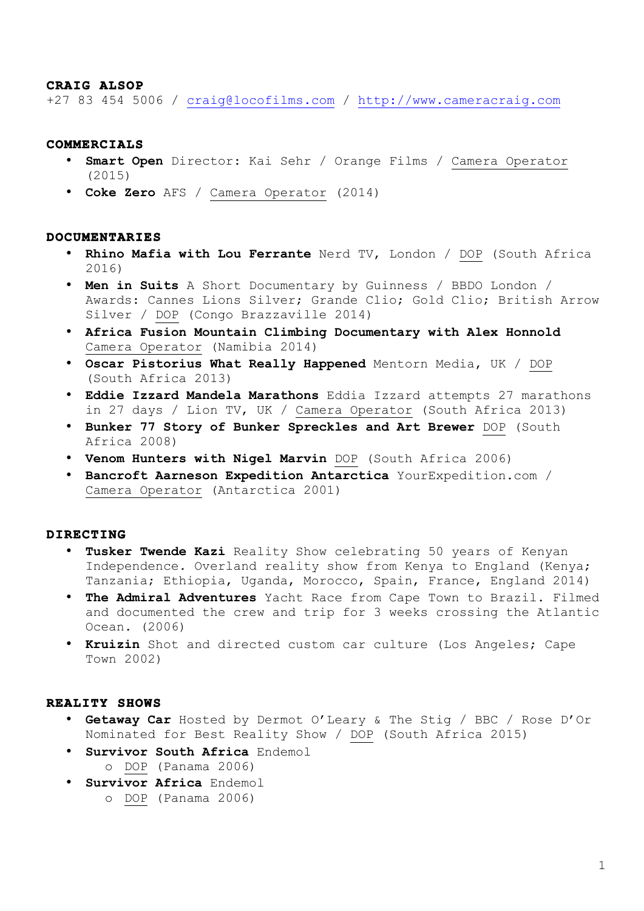## **CRAIG ALSOP**

+27 83 454 5006 / craig@locofilms.com / http://www.cameracraig.com

### **COMMERCIALS**

- **Smart Open** Director: Kai Sehr / Orange Films / Camera Operator (2015)
- **Coke Zero** AFS / Camera Operator (2014)

### **DOCUMENTARIES**

- **Rhino Mafia with Lou Ferrante** Nerd TV, London / DOP (South Africa 2016)
- **Men in Suits** A Short Documentary by Guinness / BBDO London / Awards: Cannes Lions Silver; Grande Clio; Gold Clio; British Arrow Silver / DOP (Congo Brazzaville 2014)
- **Africa Fusion Mountain Climbing Documentary with Alex Honnold** Camera Operator (Namibia 2014)
- **Oscar Pistorius What Really Happened** Mentorn Media, UK / DOP (South Africa 2013)
- **Eddie Izzard Mandela Marathons** Eddia Izzard attempts 27 marathons in 27 days / Lion TV, UK / Camera Operator (South Africa 2013)
- **Bunker 77 Story of Bunker Spreckles and Art Brewer** DOP (South Africa 2008)
- **Venom Hunters with Nigel Marvin** DOP (South Africa 2006)
- **Bancroft Aarneson Expedition Antarctica** YourExpedition.com / Camera Operator (Antarctica 2001)

### **DIRECTING**

- **Tusker Twende Kazi** Reality Show celebrating 50 years of Kenyan Independence. Overland reality show from Kenya to England (Kenya; Tanzania; Ethiopia, Uganda, Morocco, Spain, France, England 2014)
- **The Admiral Adventures** Yacht Race from Cape Town to Brazil. Filmed and documented the crew and trip for 3 weeks crossing the Atlantic Ocean. (2006)
- **Kruizin** Shot and directed custom car culture (Los Angeles; Cape Town 2002)

#### **REALITY SHOWS**

- **Getaway Car** Hosted by Dermot O'Leary & The Stig / BBC / Rose D'Or Nominated for Best Reality Show / DOP (South Africa 2015)
- **Survivor South Africa** Endemol o DOP (Panama 2006)
- **Survivor Africa** Endemol
	- o DOP (Panama 2006)